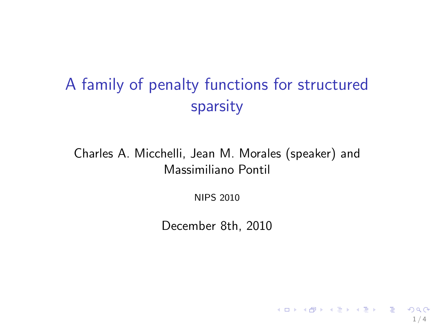## A family of penalty functions for structured sparsity

Charles A. Micchelli, Jean M. Morales (speaker) and Massimiliano Pontil

NIPS 2010

December 8th, 2010

 $1/4$ 

K ロ ▶ K @ ▶ K 할 ▶ K 할 ▶ → 할 → K 9 Q Q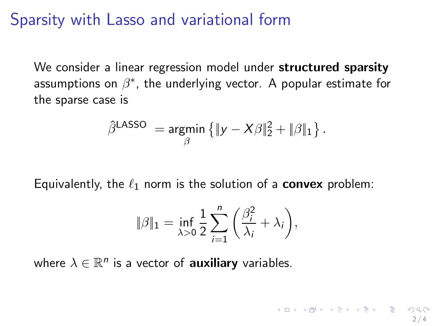## Sparsity with Lasso and variational form

We consider a linear regression model under structured sparsity assumptions on  $\beta^*$ , the underlying vector. A popular estimate for the sparse case is

$$
\hat{\beta}^{\text{LASSO}} = \underset{\beta}{\text{argmin}} \left\{ \|y - X\beta\|_2^2 + \|\beta\|_1 \right\}.
$$

Equivalently, the  $\ell_1$  norm is the solution of a **convex** problem:

$$
\|\beta\|_1 = \inf_{\lambda>0} \frac{1}{2} \sum_{i=1}^n \left(\frac{\beta_i^2}{\lambda_i} + \lambda_i\right),
$$

 $2/4$ 

K ロ ▶ K @ ▶ K 할 ▶ K 할 ▶ ( 할 ) 100 Q

where  $\lambda \in \mathbb{R}^n$  is a vector of **auxiliary** variables.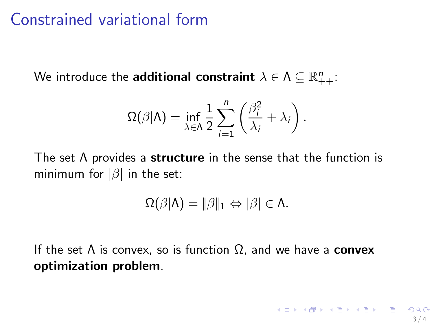## Constrained variational form

We introduce the <mark>additional constraint</mark>  $\lambda \in \Lambda \subseteq \mathbb{R}^n_{++}$ :

$$
\Omega(\beta|\Lambda) = \inf_{\lambda \in \Lambda} \frac{1}{2} \sum_{i=1}^{n} \left( \frac{\beta_i^2}{\lambda_i} + \lambda_i \right).
$$

The set  $\Lambda$  provides a structure in the sense that the function is minimum for  $|\beta|$  in the set:

$$
\Omega(\beta|\Lambda) = \|\beta\|_1 \Leftrightarrow |\beta| \in \Lambda.
$$

If the set  $\Lambda$  is convex, so is function  $\Omega$ , and we have a **convex** optimization problem.